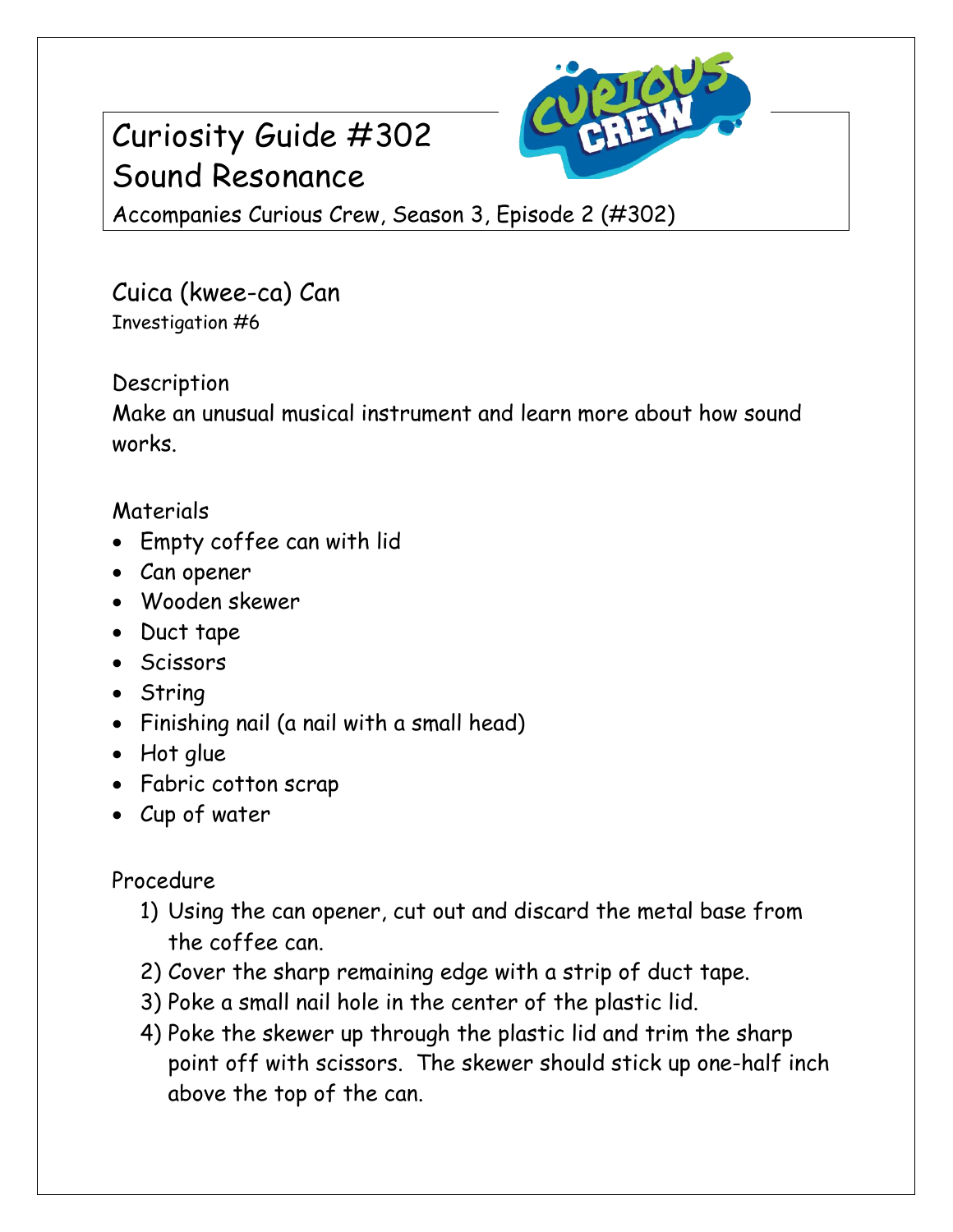# Curiosity Guide #302 Sound Resonance



Accompanies Curious Crew, Season 3, Episode 2 (#302)

Cuica (kwee-ca) Can Investigation #6

### **Description**

Make an unusual musical instrument and learn more about how sound works.

#### Materials

- Empty coffee can with lid
- Can opener
- Wooden skewer
- Duct tape
- Scissors
- String
- Finishing nail (a nail with a small head)
- Hot glue
- Fabric cotton scrap
- Cup of water

## Procedure

- 1) Using the can opener, cut out and discard the metal base from the coffee can.
- 2) Cover the sharp remaining edge with a strip of duct tape.
- 3) Poke a small nail hole in the center of the plastic lid.
- 4) Poke the skewer up through the plastic lid and trim the sharp point off with scissors. The skewer should stick up one-half inch above the top of the can.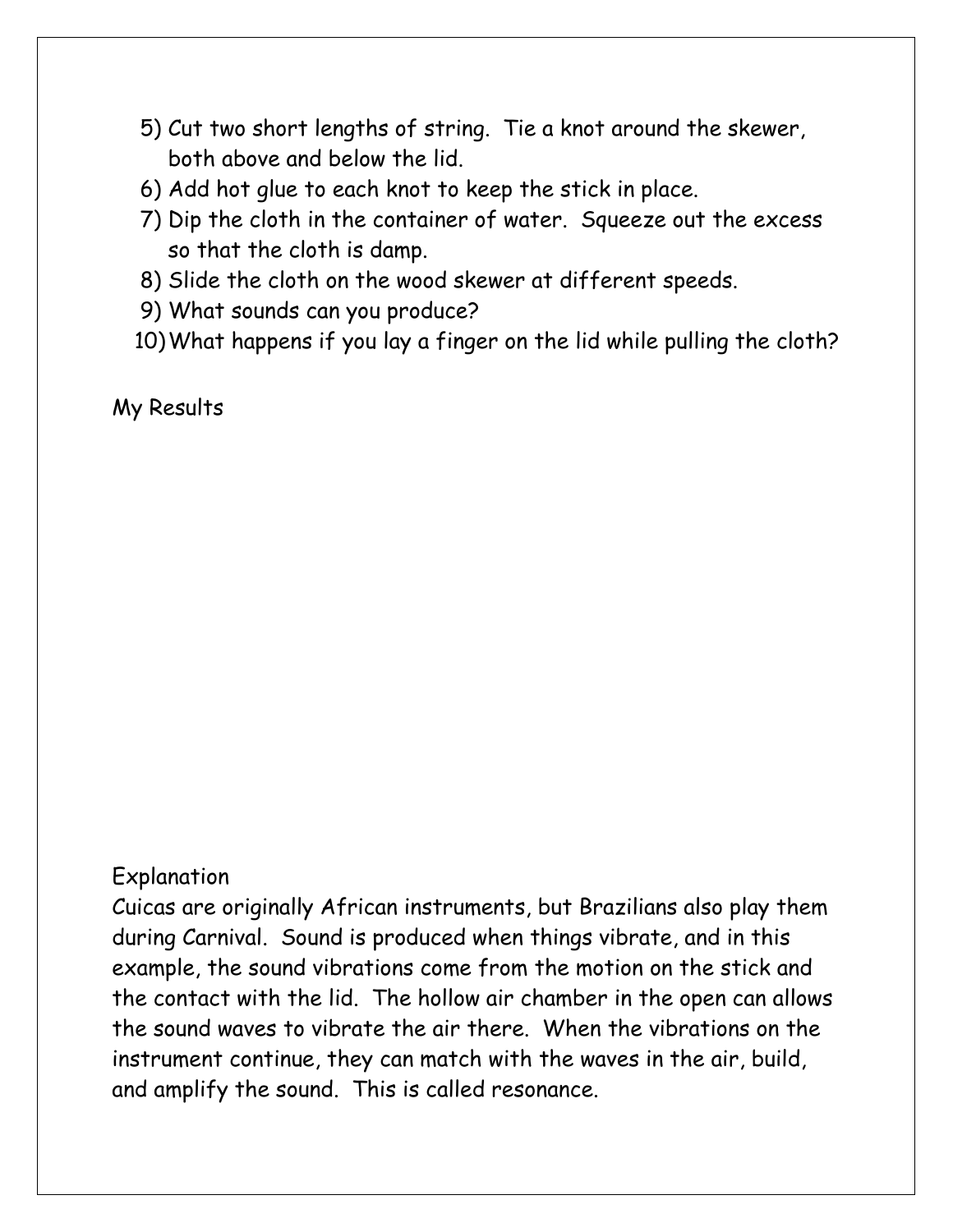- 5) Cut two short lengths of string. Tie a knot around the skewer, both above and below the lid.
- 6) Add hot glue to each knot to keep the stick in place.
- 7) Dip the cloth in the container of water. Squeeze out the excess so that the cloth is damp.
- 8) Slide the cloth on the wood skewer at different speeds.
- 9) What sounds can you produce?
- 10)What happens if you lay a finger on the lid while pulling the cloth?

My Results

#### Explanation

Cuicas are originally African instruments, but Brazilians also play them during Carnival. Sound is produced when things vibrate, and in this example, the sound vibrations come from the motion on the stick and the contact with the lid. The hollow air chamber in the open can allows the sound waves to vibrate the air there. When the vibrations on the instrument continue, they can match with the waves in the air, build, and amplify the sound. This is called resonance.